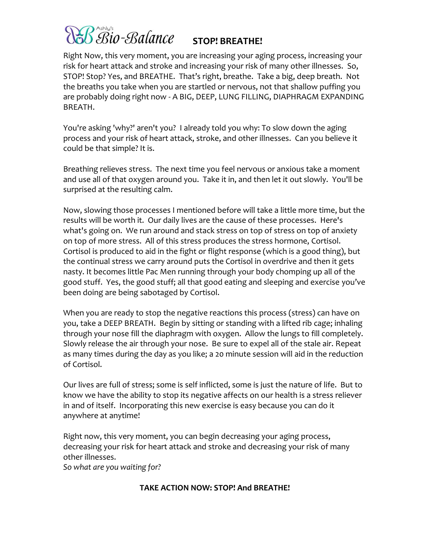# Bio-Balance STOP! BREATHE!

Right Now, this very moment, you are increasing your aging process, increasing your risk for heart attack and stroke and increasing your risk of many other illnesses. So, STOP! Stop? Yes, and BREATHE. That's right, breathe. Take a big, deep breath. Not the breaths you take when you are startled or nervous, not that shallow puffing you are probably doing right now - A BIG, DEEP, LUNG FILLING, DIAPHRAGM EXPANDING BREATH.

You're asking 'why?' aren't you? I already told you why: To slow down the aging process and your risk of heart attack, stroke, and other illnesses. Can you believe it could be that simple? It is.

Breathing relieves stress. The next time you feel nervous or anxious take a moment and use all of that oxygen around you. Take it in, and then let it out slowly. You'll be surprised at the resulting calm.

Now, slowing those processes I mentioned before will take a little more time, but the results will be worth it. Our daily lives are the cause of these processes. Here's what's going on. We run around and stack stress on top of stress on top of anxiety on top of more stress. All of this stress produces the stress hormone, Cortisol. Cortisol is produced to aid in the fight or flight response (which is a good thing), but the continual stress we carry around puts the Cortisol in overdrive and then it gets nasty. It becomes little Pac Men running through your body chomping up all of the good stuff. Yes, the good stuff; all that good eating and sleeping and exercise you've been doing are being sabotaged by Cortisol.

When you are ready to stop the negative reactions this process (stress) can have on you, take a DEEP BREATH. Begin by sitting or standing with a lifted rib cage; inhaling through your nose fill the diaphragm with oxygen. Allow the lungs to fill completely. Slowly release the air through your nose. Be sure to expel all of the stale air. Repeat as many times during the day as you like; a 20 minute session will aid in the reduction of Cortisol.

Our lives are full of stress; some is self inflicted, some is just the nature of life. But to know we have the ability to stop its negative affects on our health is a stress reliever in and of itself. Incorporating this new exercise is easy because you can do it anywhere at anytime!

Right now, this very moment, you can begin decreasing your aging process, decreasing your risk for heart attack and stroke and decreasing your risk of many other illnesses.

*So what are you waiting for?*

### **TAKE ACTION NOW: STOP! And BREATHE!**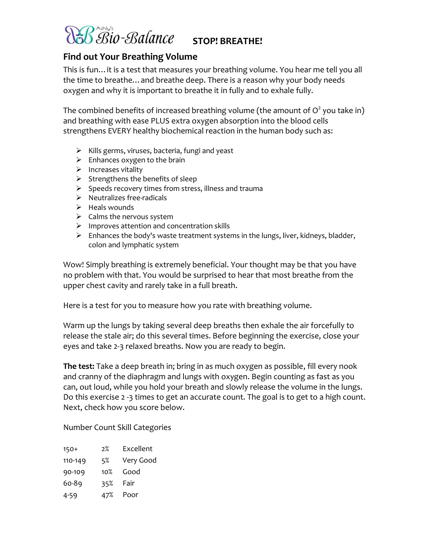

## **STOP! BREATHE!**

### **Find out Your Breathing Volume**

This is fun…it is a test that measures your breathing volume. You hear me tell you all the time to breathe…and breathe deep. There is a reason why your body needs oxygen and why it is important to breathe it in fully and to exhale fully.

The combined benefits of increased breathing volume (the amount of  $\mathsf{O}^2$  you take in) and breathing with ease PLUS extra oxygen absorption into the blood cells strengthens EVERY healthy biochemical reaction in the human body such as:

- $\triangleright$  Kills germs, viruses, bacteria, fungi and yeast
- $\triangleright$  Enhances oxygen to the brain
- $\triangleright$  Increases vitality
- $\triangleright$  Strengthens the benefits of sleep
- $\triangleright$  Speeds recovery times from stress, illness and trauma
- $\triangleright$  Neutralizes free-radicals
- $\blacktriangleright$  Heals wounds
- $\triangleright$  Calms the nervous system
- $\triangleright$  Improves attention and concentration skills
- $\triangleright$  Enhances the body's waste treatment systems in the lungs, liver, kidneys, bladder, colon and lymphatic system

Wow! Simply breathing is extremely beneficial. Your thought may be that you have no problem with that. You would be surprised to hear that most breathe from the upper chest cavity and rarely take in a full breath.

Here is a test for you to measure how you rate with breathing volume.

Warm up the lungs by taking several deep breaths then exhale the air forcefully to release the stale air; do this several times. Before beginning the exercise, close your eyes and take 2-3 relaxed breaths. Now you are ready to begin.

**The test:** Take a deep breath in; bring in as much oxygen as possible, fill every nook and cranny of the diaphragm and lungs with oxygen. Begin counting as fast as you can, out loud, while you hold your breath and slowly release the volume in the lungs. Do this exercise 2 -3 times to get an accurate count. The goal is to get to a high count. Next, check how you score below.

Number Count Skill Categories

| $150+$  | 2%  | Excellent |
|---------|-----|-----------|
| 110-149 | 5%  | Very Good |
| 90-109  | 10% | Good      |
| 60-89   | 35% | Fair      |
| 4-59    | 47% | Poor      |